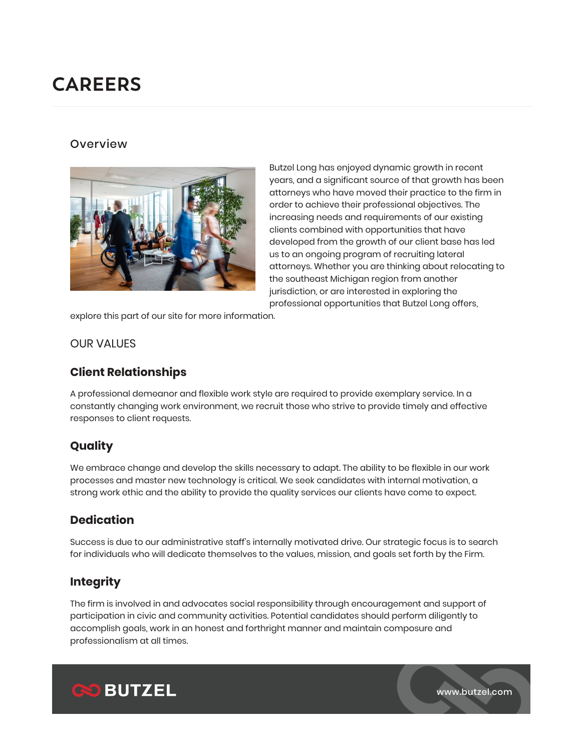# **CAREERS**

#### **Overview**



Butzel Long has enjoyed dynamic growth in recent years, and a significant source of that growth has been attorneys who have moved their practice to the firm in order to achieve their professional objectives. The increasing needs and requirements of our existing clients combined with opportunities that have developed from the growth of our client base has led us to an ongoing program of recruiting lateral attorneys. Whether you are thinking about relocating to the southeast Michigan region from another jurisdiction, or are interested in exploring the professional opportunities that Butzel Long offers,

explore this part of our site for more information.

#### OUR VALUES

## **Client Relationships**

A professional demeanor and flexible work style are required to provide exemplary service. In a constantly changing work environment, we recruit those who strive to provide timely and effective responses to client requests.

## **Quality**

We embrace change and develop the skills necessary to adapt. The ability to be flexible in our work processes and master new technology is critical. We seek candidates with internal motivation, a strong work ethic and the ability to provide the quality services our clients have come to expect.

## **Dedication**

Success is due to our administrative staff's internally motivated drive. Our strategic focus is to search for individuals who will dedicate themselves to the values, mission, and goals set forth by the Firm.

## **Integrity**

The firm is involved in and advocates social responsibility through encouragement and support of participation in civic and community activities. Potential candidates should perform diligently to accomplish goals, work in an honest and forthright manner and maintain composure and professionalism at all times.



www.butzel.com